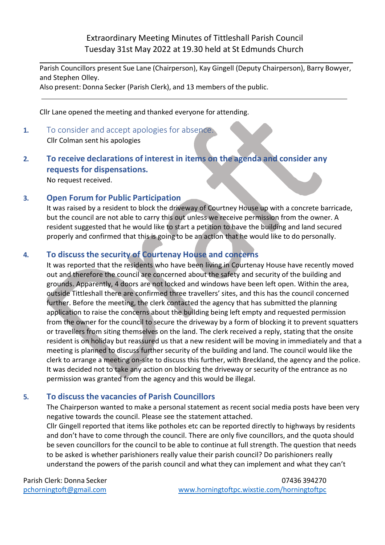Extraordinary Meeting Minutes of Tittleshall Parish Council Tuesday 31st May 2022 at 19.30 held at St Edmunds Church

Parish Councillors present Sue Lane (Chairperson), Kay Gingell (Deputy Chairperson), Barry Bowyer, and Stephen Olley.

Also present: Donna Secker (Parish Clerk), and 13 members of the public.

Cllr Lane opened the meeting and thanked everyone for attending.

**1.** To consider and accept apologies for absence. Cllr Colman sent his apologies

## **2. To receive declarations of interest in items on the agenda and consider any requests for dispensations.**

No request received.

## **3. Open Forum for Public Participation**

It was raised by a resident to block the driveway of Courtney House up with a concrete barricade, but the council are not able to carry this out unless we receive permission from the owner. A resident suggested that he would like to start a petition to have the building and land secured properly and confirmed that this is going to be an action that he would like to do personally.

## **4. To discuss the security of Courtenay House and concerns**

It was reported that the residents who have been living in Courtenay House have recently moved out and therefore the council are concerned about the safety and security of the building and grounds. Apparently, 4 doors are not locked and windows have been left open. Within the area, outside Tittleshall there are confirmed three travellers' sites, and this has the council concerned further. Before the meeting, the clerk contacted the agency that has submitted the planning application to raise the concerns about the building being left empty and requested permission from the owner for the council to secure the driveway by a form of blocking it to prevent squatters or travellers from siting themselves on the land. The clerk received a reply, stating that the onsite resident is on holiday but reassured us that a new resident will be moving in immediately and that a meeting is planned to discuss further security of the building and land. The council would like the clerk to arrange a meeting on-site to discuss this further, with Breckland, the agency and the police. It was decided not to take any action on blocking the driveway or security of the entrance as no permission was granted from the agency and this would be illegal.

## **5. To discuss the vacancies of Parish Councillors**

The Chairperson wanted to make a personal statement as recent social media posts have been very negative towards the council. Please see the statement attached.

Cllr Gingell reported that items like potholes etc can be reported directly to highways by residents and don't have to come through the council. There are only five councillors, and the quota should be seven councillors for the council to be able to continue at full strength. The question that needs to be asked is whether parishioners really value their parish council? Do parishioners really understand the powers of the parish council and what they can implement and what they can't

Parish Clerk: Donna Secker [pchorningtoft@gmail.com](mailto:pchorningtoft@gmail.com)

07436 394270 [www.horningtoftpc.wixstie.com/horningtoftpc](http://www.horningtoftpc.wixstie.com/horningtoftpc)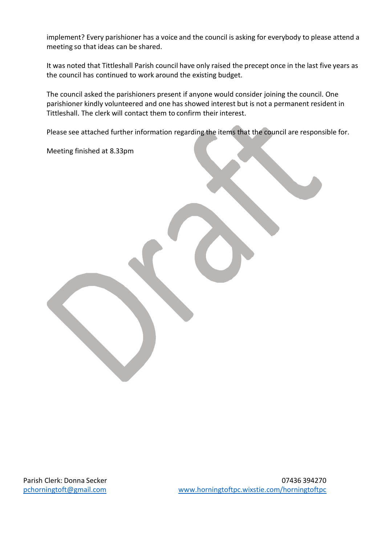implement? Every parishioner has a voice and the council is asking for everybody to please attend a meeting so that ideas can be shared.

It was noted that Tittleshall Parish council have only raised the precept once in the last five years as the council has continued to work around the existing budget.

The council asked the parishioners present if anyone would consider joining the council. One parishioner kindly volunteered and one has showed interest but is not a permanent resident in Tittleshall. The clerk will contact them to confirm their interest.

Please see attached further information regarding the items that the council are responsible for.

Meeting finished at 8.33pm

Parish Clerk: Donna Secker [pchorningtoft@gmail.com](mailto:pchorningtoft@gmail.com)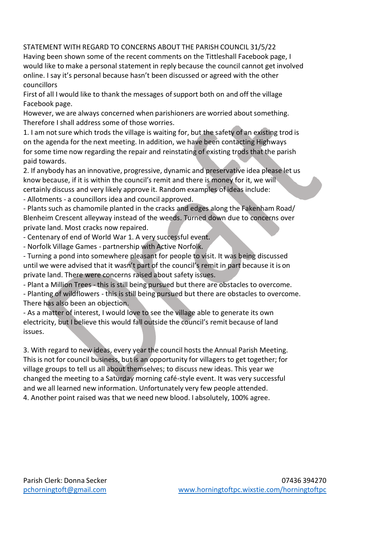STATEMENT WITH REGARD TO CONCERNS ABOUT THE PARISH COUNCIL 31/5/22 Having been shown some of the recent comments on the Tittleshall Facebook page, I would like to make a personal statement in reply because the council cannot get involved online. I say it's personal because hasn't been discussed or agreed with the other councillors

First of all I would like to thank the messages of support both on and off the village Facebook page.

However, we are always concerned when parishioners are worried about something. Therefore I shall address some of those worries.

1. I am notsure which trods the village is waiting for, but the safety of an existing trod is on the agenda for the next meeting. In addition, we have been contacting Highways for some time now regarding the repair and reinstating of existing trods that the parish paid towards.

2. If anybody has an innovative, progressive, dynamic and preservative idea please let us know because, if it is within the council's remit and there is money for it, we will certainly discuss and very likely approve it. Random examples of ideas include:

- Allotments - a councillors idea and council approved.

- Plants such as chamomile planted in the cracks and edges along the Fakenham Road/ Blenheim Crescent alleyway instead of the weeds. Turned down due to concerns over private land. Most cracks now repaired.

- Centenary of end of World War 1. A very successful event.

- Norfolk Village Games - partnership with Active Norfolk.

- Turning a pond into somewhere pleasant for people to visit. It was being discussed until we were advised that it wasn't part of the council's remit in part because it is on private land. There were concerns raised about safety issues.

- Plant a Million Trees - this is still being pursued but there are obstacles to overcome.

- Planting of wildflowers - this is still being pursued but there are obstacles to overcome. There has also been an objection.

- As a matter of interest, I would love to see the village able to generate its own electricity, but I believe this would fall outside the council's remit because of land issues.

3. With regard to new ideas, every year the council hosts the Annual Parish Meeting. This is not for council business, but is an opportunity for villagers to get together; for village groups to tell us all about themselves; to discuss new ideas. This year we changed the meeting to a Saturday morning café-style event. It was very successful and we all learned new information. Unfortunately very few people attended. 4. Another point raised was that we need new blood. I absolutely, 100% agree.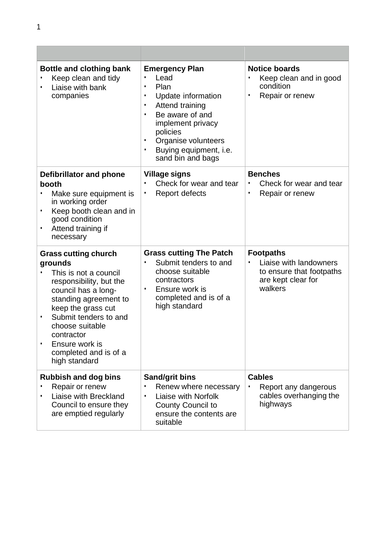| <b>Bottle and clothing bank</b><br>Keep clean and tidy<br>Liaise with bank<br>companies                                                                                                                                                                                                     | <b>Emergency Plan</b><br>Lead<br>$\bullet$<br>Plan<br>Update information<br>$\bullet$<br>Attend training<br>$\bullet$<br>Be aware of and<br>implement privacy<br>policies<br>Organise volunteers<br>$\bullet$<br>Buying equipment, i.e.<br>$\bullet$<br>sand bin and bags | <b>Notice boards</b><br>Keep clean and in good<br>condition<br>Repair or renew<br>$\bullet$             |
|---------------------------------------------------------------------------------------------------------------------------------------------------------------------------------------------------------------------------------------------------------------------------------------------|---------------------------------------------------------------------------------------------------------------------------------------------------------------------------------------------------------------------------------------------------------------------------|---------------------------------------------------------------------------------------------------------|
| Defibrillator and phone<br>booth<br>Make sure equipment is<br>in working order<br>Keep booth clean and in<br>$\bullet$<br>good condition<br>Attend training if<br>٠<br>necessary                                                                                                            | <b>Village signs</b><br>Check for wear and tear<br>$\bullet$<br><b>Report defects</b><br>٠                                                                                                                                                                                | <b>Benches</b><br>Check for wear and tear<br>Repair or renew<br>$\bullet$                               |
| <b>Grass cutting church</b><br>grounds<br>This is not a council<br>responsibility, but the<br>council has a long-<br>standing agreement to<br>keep the grass cut<br>Submit tenders to and<br>٠<br>choose suitable<br>contractor<br>Ensure work is<br>completed and is of a<br>high standard | <b>Grass cutting The Patch</b><br>Submit tenders to and<br>choose suitable<br>contractors<br>Ensure work is<br>$\bullet$<br>completed and is of a<br>high standard                                                                                                        | <b>Footpaths</b><br>Liaise with landowners<br>to ensure that footpaths<br>are kept clear for<br>walkers |
| <b>Rubbish and dog bins</b><br>Repair or renew<br>Liaise with Breckland<br>Council to ensure they<br>are emptied regularly                                                                                                                                                                  | <b>Sand/grit bins</b><br>Renew where necessary<br>Liaise with Norfolk<br>$\bullet$<br><b>County Council to</b><br>ensure the contents are<br>suitable                                                                                                                     | <b>Cables</b><br>Report any dangerous<br>cables overhanging the<br>highways                             |